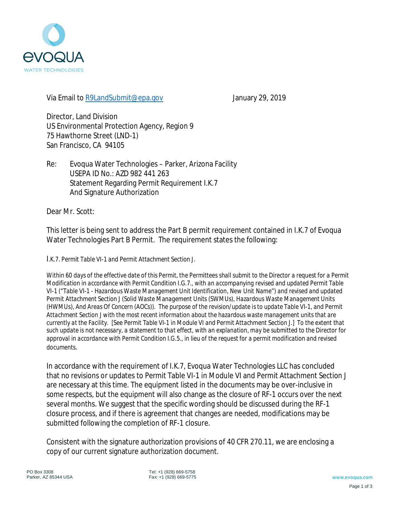

Via Email to R9LandSubmit@epa.gov January 29, 2019

Director, Land Division US Environmental Protection Agency, Region 9 75 Hawthorne Street (LND-1) San Francisco, CA 94105

Re: Evoqua Water Technologies – Parker, Arizona Facility USEPA ID No.: AZD 982 441 263 Statement Regarding Permit Requirement I.K.7 And Signature Authorization

Dear Mr. Scott:

This letter is being sent to address the Part B permit requirement contained in I.K.7 of Evoqua Water Technologies Part B Permit. The requirement states the following:

I*.K.7. Permit Table VI-1 and Permit Attachment Section J.*

*Within 60 days of the effective date of this Permit, the Permittees shall submit to the Director a request for a Permit Modification in accordance with Permit Condition I.G.7., with an accompanying revised and updated Permit Table VI-1 ("Table VI-1 - Hazardous Waste Management Unit Identification, New Unit Name") and revised and updated Permit Attachment Section J (Solid Waste Management Units (SWMUs), Hazardous Waste Management Units (HWMUs), And Areas Of Concern (AOCs)). The purpose of the revision/update is to update Table VI-1, and Permit Attachment Section J with the most recent information about the hazardous waste management units that are currently at the Facility. [See Permit Table VI-1 in Module VI and Permit Attachment Section J.] To the extent that such update is not necessary, a statement to that effect, with an explanation, may be submitted to the Director for approval in accordance with Permit Condition I.G.5., in lieu of the request for a permit modification and revised documents*.

In accordance with the requirement of I.K.7, Evoqua Water Technologies LLC has concluded that no revisions or updates to Permit Table VI-1 in Module VI and Permit Attachment Section J are necessary at this time. The equipment listed in the documents may be over-inclusive in some respects, but the equipment will also change as the closure of RF-1 occurs over the next several months. We suggest that the specific wording should be discussed during the RF-1 closure process, and if there is agreement that changes are needed, modifications may be submitted following the completion of RF-1 closure.

Consistent with the signature authorization provisions of 40 CFR 270.11, we are enclosing a copy of our current signature authorization document.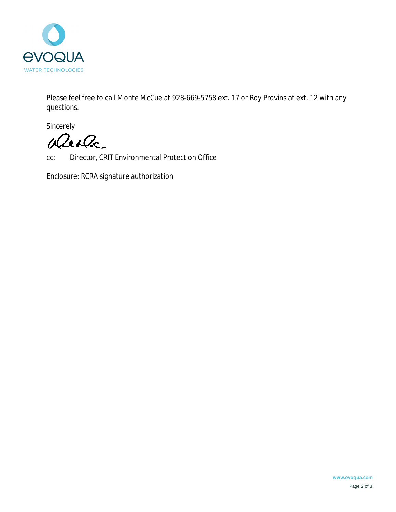

Please feel free to call Monte McCue at 928-669-5758 ext. 17 or Roy Provins at ext. 12 with any questions.

Sincerely

Weste

cc: Director, CRIT Environmental Protection Office

Enclosure: RCRA signature authorization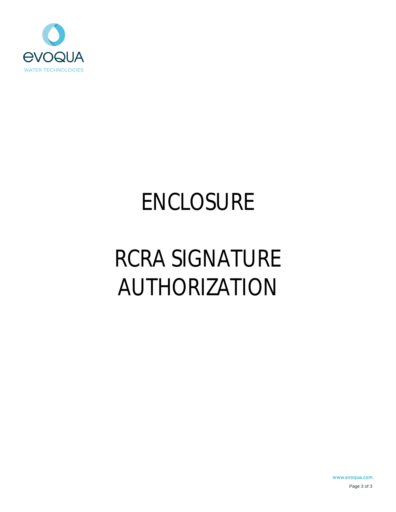

# ENCLOSURE

# RCRA SIGNATURE AUTHORIZATION

www.evoqua.com Page 3 of 3